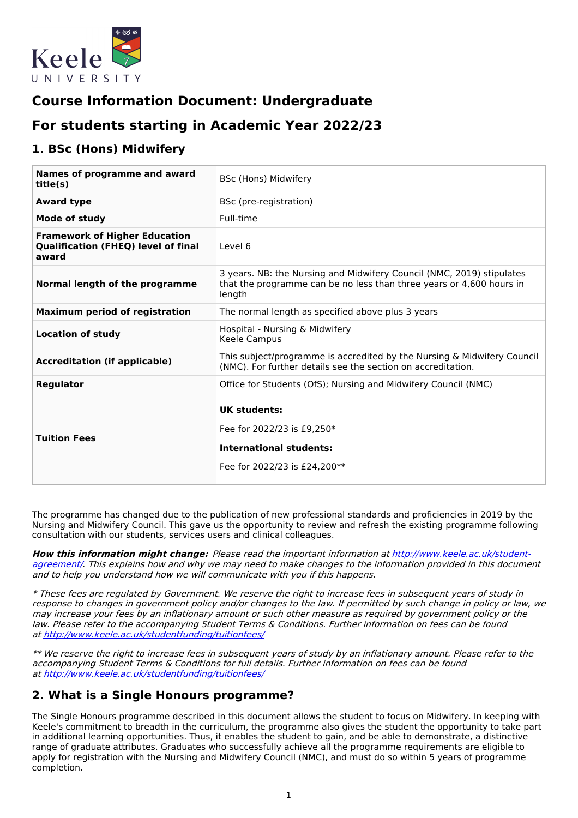

# **Course Information Document: Undergraduate**

# **For students starting in Academic Year 2022/23**

## **1. BSc (Hons) Midwifery**

| Names of programme and award<br>title(s)                                                    | BSc (Hons) Midwifery                                                                                                                                    |
|---------------------------------------------------------------------------------------------|---------------------------------------------------------------------------------------------------------------------------------------------------------|
| <b>Award type</b>                                                                           | BSc (pre-registration)                                                                                                                                  |
| <b>Mode of study</b>                                                                        | Full-time                                                                                                                                               |
| <b>Framework of Higher Education</b><br><b>Qualification (FHEQ) level of final</b><br>award | Level 6                                                                                                                                                 |
| Normal length of the programme                                                              | 3 years. NB: the Nursing and Midwifery Council (NMC, 2019) stipulates<br>that the programme can be no less than three years or 4,600 hours in<br>length |
| <b>Maximum period of registration</b>                                                       | The normal length as specified above plus 3 years                                                                                                       |
| <b>Location of study</b>                                                                    | Hospital - Nursing & Midwifery<br>Keele Campus                                                                                                          |
| <b>Accreditation (if applicable)</b>                                                        | This subject/programme is accredited by the Nursing & Midwifery Council<br>(NMC). For further details see the section on accreditation.                 |
| <b>Regulator</b>                                                                            | Office for Students (OfS); Nursing and Midwifery Council (NMC)                                                                                          |
| <b>Tuition Fees</b>                                                                         | UK students:<br>Fee for 2022/23 is £9.250*<br><b>International students:</b><br>Fee for 2022/23 is £24,200**                                            |

The programme has changed due to the publication of new professional standards and proficiencies in 2019 by the Nursing and Midwifery Council. This gave us the opportunity to review and refresh the existing programme following consultation with our students, services users and clinical colleagues.

**How this information might change:** Please read the important information at [http://www.keele.ac.uk/student](http://www.keele.ac.uk/student-agreement/)agreement/. This explains how and why we may need to make changes to the information provided in this document and to help you understand how we will communicate with you if this happens.

\* These fees are regulated by Government. We reserve the right to increase fees in subsequent years of study in response to changes in government policy and/or changes to the law. If permitted by such change in policy or law, we may increase your fees by an inflationary amount or such other measure as required by government policy or the law. Please refer to the accompanying Student Terms & Conditions. Further information on fees can be found at <http://www.keele.ac.uk/studentfunding/tuitionfees/>

\*\* We reserve the right to increase fees in subsequent years of study by an inflationary amount. Please refer to the accompanying Student Terms & Conditions for full details. Further information on fees can be found at <http://www.keele.ac.uk/studentfunding/tuitionfees/>

### **2. What is a Single Honours programme?**

The Single Honours programme described in this document allows the student to focus on Midwifery. In keeping with Keele's commitment to breadth in the curriculum, the programme also gives the student the opportunity to take part in additional learning opportunities. Thus, it enables the student to gain, and be able to demonstrate, a distinctive range of graduate attributes. Graduates who successfully achieve all the programme requirements are eligible to apply for registration with the Nursing and Midwifery Council (NMC), and must do so within 5 years of programme completion.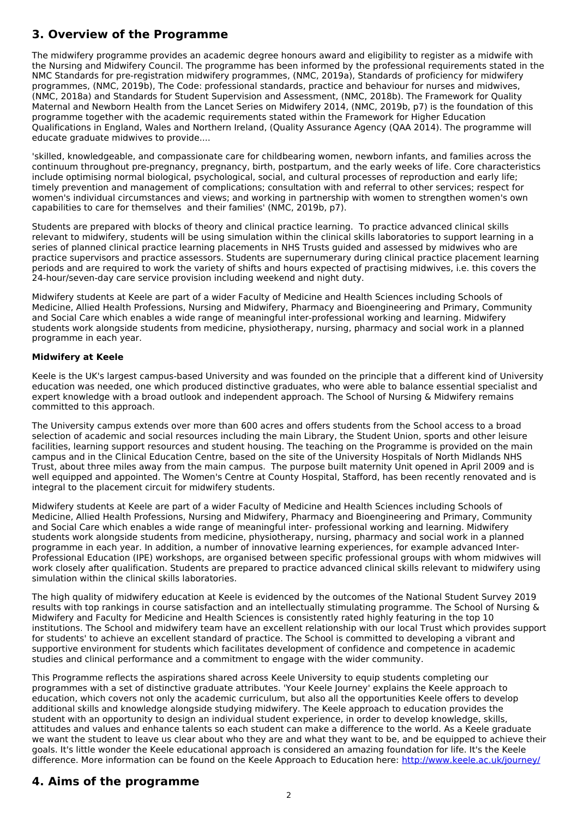# **3. Overview of the Programme**

The midwifery programme provides an academic degree honours award and eligibility to register as a midwife with the Nursing and Midwifery Council. The programme has been informed by the professional requirements stated in the NMC Standards for pre-registration midwifery programmes, (NMC, 2019a), Standards of proficiency for midwifery programmes, (NMC, 2019b), The Code: professional standards, practice and behaviour for nurses and midwives, (NMC, 2018a) and Standards for Student Supervision and Assessment, (NMC, 2018b). The Framework for Quality Maternal and Newborn Health from the Lancet Series on Midwifery 2014, (NMC, 2019b, p7) is the foundation of this programme together with the academic requirements stated within the Framework for Higher Education Qualifications in England, Wales and Northern Ireland, (Quality Assurance Agency (QAA 2014). The programme will educate graduate midwives to provide....

'skilled, knowledgeable, and compassionate care for childbearing women, newborn infants, and families across the continuum throughout pre-pregnancy, pregnancy, birth, postpartum, and the early weeks of life. Core characteristics include optimising normal biological, psychological, social, and cultural processes of reproduction and early life; timely prevention and management of complications; consultation with and referral to other services; respect for women's individual circumstances and views; and working in partnership with women to strengthen women's own capabilities to care for themselves and their families' (NMC, 2019b, p7).

Students are prepared with blocks of theory and clinical practice learning. To practice advanced clinical skills relevant to midwifery, students will be using simulation within the clinical skills laboratories to support learning in a series of planned clinical practice learning placements in NHS Trusts guided and assessed by midwives who are practice supervisors and practice assessors. Students are supernumerary during clinical practice placement learning periods and are required to work the variety of shifts and hours expected of practising midwives, i.e. this covers the 24-hour/seven-day care service provision including weekend and night duty.

Midwifery students at Keele are part of a wider Faculty of Medicine and Health Sciences including Schools of Medicine, Allied Health Professions, Nursing and Midwifery, Pharmacy and Bioengineering and Primary, Community and Social Care which enables a wide range of meaningful inter-professional working and learning. Midwifery students work alongside students from medicine, physiotherapy, nursing, pharmacy and social work in a planned programme in each year.

### **Midwifery at Keele**

Keele is the UK's largest campus-based University and was founded on the principle that a different kind of University education was needed, one which produced distinctive graduates, who were able to balance essential specialist and expert knowledge with a broad outlook and independent approach. The School of Nursing & Midwifery remains committed to this approach.

The University campus extends over more than 600 acres and offers students from the School access to a broad selection of academic and social resources including the main Library, the Student Union, sports and other leisure facilities, learning support resources and student housing. The teaching on the Programme is provided on the main campus and in the Clinical Education Centre, based on the site of the University Hospitals of North Midlands NHS Trust, about three miles away from the main campus. The purpose built maternity Unit opened in April 2009 and is well equipped and appointed. The Women's Centre at County Hospital, Stafford, has been recently renovated and is integral to the placement circuit for midwifery students.

Midwifery students at Keele are part of a wider Faculty of Medicine and Health Sciences including Schools of Medicine, Allied Health Professions, Nursing and Midwifery, Pharmacy and Bioengineering and Primary, Community and Social Care which enables a wide range of meaningful inter- professional working and learning. Midwifery students work alongside students from medicine, physiotherapy, nursing, pharmacy and social work in a planned programme in each year. In addition, a number of innovative learning experiences, for example advanced Inter-Professional Education (IPE) workshops, are organised between specific professional groups with whom midwives will work closely after qualification. Students are prepared to practice advanced clinical skills relevant to midwifery using simulation within the clinical skills laboratories.

The high quality of midwifery education at Keele is evidenced by the outcomes of the National Student Survey 2019 results with top rankings in course satisfaction and an intellectually stimulating programme. The School of Nursing & Midwifery and Faculty for Medicine and Health Sciences is consistently rated highly featuring in the top 10 institutions. The School and midwifery team have an excellent relationship with our local Trust which provides support for students' to achieve an excellent standard of practice. The School is committed to developing a vibrant and supportive environment for students which facilitates development of confidence and competence in academic studies and clinical performance and a commitment to engage with the wider community.

This Programme reflects the aspirations shared across Keele University to equip students completing our programmes with a set of distinctive graduate attributes. 'Your Keele Journey' explains the Keele approach to education, which covers not only the academic curriculum, but also all the opportunities Keele offers to develop additional skills and knowledge alongside studying midwifery. The Keele approach to education provides the student with an opportunity to design an individual student experience, in order to develop knowledge, skills, attitudes and values and enhance talents so each student can make a difference to the world. As a Keele graduate we want the student to leave us clear about who they are and what they want to be, and be equipped to achieve their goals. It's little wonder the Keele educational approach is considered an amazing foundation for life. It's the Keele difference. More information can be found on the Keele Approach to Education here: <http://www.keele.ac.uk/journey/>

## **4. Aims of the programme**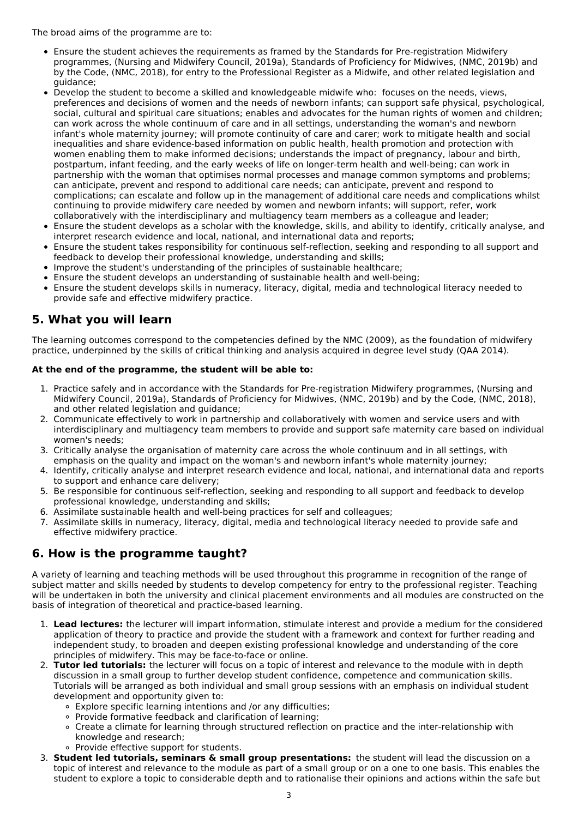The broad aims of the programme are to:

- Ensure the student achieves the requirements as framed by the Standards for Pre-registration Midwifery programmes, (Nursing and Midwifery Council, 2019a), Standards of Proficiency for Midwives, (NMC, 2019b) and by the Code, (NMC, 2018), for entry to the Professional Register as a Midwife, and other related legislation and guidance;
- Develop the student to become a skilled and knowledgeable midwife who: focuses on the needs, views, preferences and decisions of women and the needs of newborn infants; can support safe physical, psychological, social, cultural and spiritual care situations; enables and advocates for the human rights of women and children; can work across the whole continuum of care and in all settings, understanding the woman's and newborn infant's whole maternity journey; will promote continuity of care and carer; work to mitigate health and social inequalities and share evidence-based information on public health, health promotion and protection with women enabling them to make informed decisions; understands the impact of pregnancy, labour and birth, postpartum, infant feeding, and the early weeks of life on longer-term health and well-being; can work in partnership with the woman that optimises normal processes and manage common symptoms and problems; can anticipate, prevent and respond to additional care needs; can anticipate, prevent and respond to complications; can escalate and follow up in the management of additional care needs and complications whilst continuing to provide midwifery care needed by women and newborn infants; will support, refer, work collaboratively with the interdisciplinary and multiagency team members as a colleague and leader;
- Ensure the student develops as a scholar with the knowledge, skills, and ability to identify, critically analyse, and interpret research evidence and local, national, and international data and reports;
- Ensure the student takes responsibility for continuous self-reflection, seeking and responding to all support and feedback to develop their professional knowledge, understanding and skills;
- Improve the student's understanding of the principles of sustainable healthcare;
- Ensure the student develops an understanding of sustainable health and well-being;
- Ensure the student develops skills in numeracy, literacy, digital, media and technological literacy needed to  $\bullet$ provide safe and effective midwifery practice.

## **5. What you will learn**

The learning outcomes correspond to the competencies defined by the NMC (2009), as the foundation of midwifery practice, underpinned by the skills of critical thinking and analysis acquired in degree level study (QAA 2014).

#### **At the end of the programme, the student will be able to:**

- 1. Practice safely and in accordance with the Standards for Pre-registration Midwifery programmes, (Nursing and Midwifery Council, 2019a), Standards of Proficiency for Midwives, (NMC, 2019b) and by the Code, (NMC, 2018), and other related legislation and guidance;
- 2. Communicate effectively to work in partnership and collaboratively with women and service users and with interdisciplinary and multiagency team members to provide and support safe maternity care based on individual women's needs;
- 3. Critically analyse the organisation of maternity care across the whole continuum and in all settings, with emphasis on the quality and impact on the woman's and newborn infant's whole maternity journey;
- 4. Identify, critically analyse and interpret research evidence and local, national, and international data and reports to support and enhance care delivery;
- 5. Be responsible for continuous self-reflection, seeking and responding to all support and feedback to develop professional knowledge, understanding and skills;
- 6. Assimilate sustainable health and well-being practices for self and colleagues;
- 7. Assimilate skills in numeracy, literacy, digital, media and technological literacy needed to provide safe and effective midwifery practice.

## **6. How is the programme taught?**

A variety of learning and teaching methods will be used throughout this programme in recognition of the range of subject matter and skills needed by students to develop competency for entry to the professional register. Teaching will be undertaken in both the university and clinical placement environments and all modules are constructed on the basis of integration of theoretical and practice-based learning.

- 1. **Lead lectures:** the lecturer will impart information, stimulate interest and provide a medium for the considered application of theory to practice and provide the student with a framework and context for further reading and independent study, to broaden and deepen existing professional knowledge and understanding of the core principles of midwifery. This may be face-to-face or online.
- 2. **Tutor led tutorials:** the lecturer will focus on a topic of interest and relevance to the module with in depth discussion in a small group to further develop student confidence, competence and communication skills. Tutorials will be arranged as both individual and small group sessions with an emphasis on individual student development and opportunity given to:
	- Explore specific learning intentions and /or any difficulties;
	- o Provide formative feedback and clarification of learning;
	- Create a climate for learning through structured reflection on practice and the inter-relationship with knowledge and research;
	- o Provide effective support for students.
- 3. **Student led tutorials, seminars & small group presentations:** the student will lead the discussion on a topic of interest and relevance to the module as part of a small group or on a one to one basis. This enables the student to explore a topic to considerable depth and to rationalise their opinions and actions within the safe but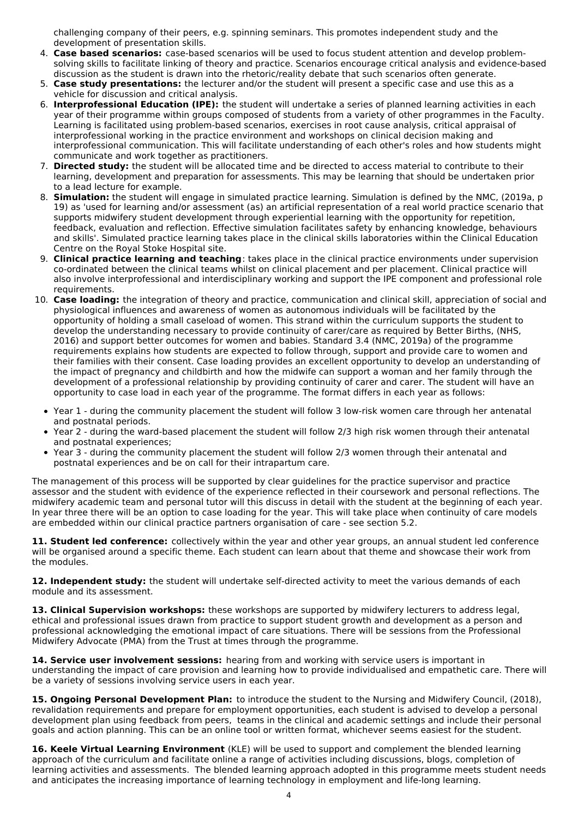challenging company of their peers, e.g. spinning seminars. This promotes independent study and the development of presentation skills.

- 4. **Case based scenarios:** case-based scenarios will be used to focus student attention and develop problemsolving skills to facilitate linking of theory and practice. Scenarios encourage critical analysis and evidence-based discussion as the student is drawn into the rhetoric/reality debate that such scenarios often generate.
- 5. **Case study presentations:** the lecturer and/or the student will present a specific case and use this as a vehicle for discussion and critical analysis.
- 6. **Interprofessional Education (IPE):** the student will undertake a series of planned learning activities in each year of their programme within groups composed of students from a variety of other programmes in the Faculty. Learning is facilitated using problem-based scenarios, exercises in root cause analysis, critical appraisal of interprofessional working in the practice environment and workshops on clinical decision making and interprofessional communication. This will facilitate understanding of each other's roles and how students might communicate and work together as practitioners.
- 7. **Directed study:** the student will be allocated time and be directed to access material to contribute to their learning, development and preparation for assessments. This may be learning that should be undertaken prior to a lead lecture for example.
- 8. **Simulation:** the student will engage in simulated practice learning. Simulation is defined by the NMC, (2019a, p 19) as 'used for learning and/or assessment (as) an artificial representation of a real world practice scenario that supports midwifery student development through experiential learning with the opportunity for repetition, feedback, evaluation and reflection. Effective simulation facilitates safety by enhancing knowledge, behaviours and skills'. Simulated practice learning takes place in the clinical skills laboratories within the Clinical Education Centre on the Royal Stoke Hospital site.
- 9. **Clinical practice learning and teaching**: takes place in the clinical practice environments under supervision co-ordinated between the clinical teams whilst on clinical placement and per placement. Clinical practice will also involve interprofessional and interdisciplinary working and support the IPE component and professional role requirements.
- 10. **Case loading:** the integration of theory and practice, communication and clinical skill, appreciation of social and physiological influences and awareness of women as autonomous individuals will be facilitated by the opportunity of holding a small caseload of women. This strand within the curriculum supports the student to develop the understanding necessary to provide continuity of carer/care as required by Better Births, (NHS, 2016) and support better outcomes for women and babies. Standard 3.4 (NMC, 2019a) of the programme requirements explains how students are expected to follow through, support and provide care to women and their families with their consent. Case loading provides an excellent opportunity to develop an understanding of the impact of pregnancy and childbirth and how the midwife can support a woman and her family through the development of a professional relationship by providing continuity of carer and carer. The student will have an opportunity to case load in each year of the programme. The format differs in each year as follows:
	- Year 1 during the community placement the student will follow 3 low-risk women care through her antenatal and postnatal periods.
	- Year 2 during the ward-based placement the student will follow 2/3 high risk women through their antenatal and postnatal experiences;
	- Year 3 during the community placement the student will follow 2/3 women through their antenatal and postnatal experiences and be on call for their intrapartum care.

The management of this process will be supported by clear guidelines for the practice supervisor and practice assessor and the student with evidence of the experience reflected in their coursework and personal reflections. The midwifery academic team and personal tutor will this discuss in detail with the student at the beginning of each year. In year three there will be an option to case loading for the year. This will take place when continuity of care models are embedded within our clinical practice partners organisation of care - see section 5.2.

**11. Student led conference:** collectively within the year and other year groups, an annual student led conference will be organised around a specific theme. Each student can learn about that theme and showcase their work from the modules.

**12. Independent study:** the student will undertake self-directed activity to meet the various demands of each module and its assessment.

**13. Clinical Supervision workshops:** these workshops are supported by midwifery lecturers to address legal, ethical and professional issues drawn from practice to support student growth and development as a person and professional acknowledging the emotional impact of care situations. There will be sessions from the Professional Midwifery Advocate (PMA) from the Trust at times through the programme.

**14. Service user involvement sessions:** hearing from and working with service users is important in understanding the impact of care provision and learning how to provide individualised and empathetic care. There will be a variety of sessions involving service users in each year.

**15. Ongoing Personal Development Plan:** to introduce the student to the Nursing and Midwifery Council, (2018), revalidation requirements and prepare for employment opportunities, each student is advised to develop a personal development plan using feedback from peers, teams in the clinical and academic settings and include their personal goals and action planning. This can be an online tool or written format, whichever seems easiest for the student.

**16. Keele Virtual Learning Environment** (KLE) will be used to support and complement the blended learning approach of the curriculum and facilitate online a range of activities including discussions, blogs, completion of learning activities and assessments. The blended learning approach adopted in this programme meets student needs and anticipates the increasing importance of learning technology in employment and life-long learning.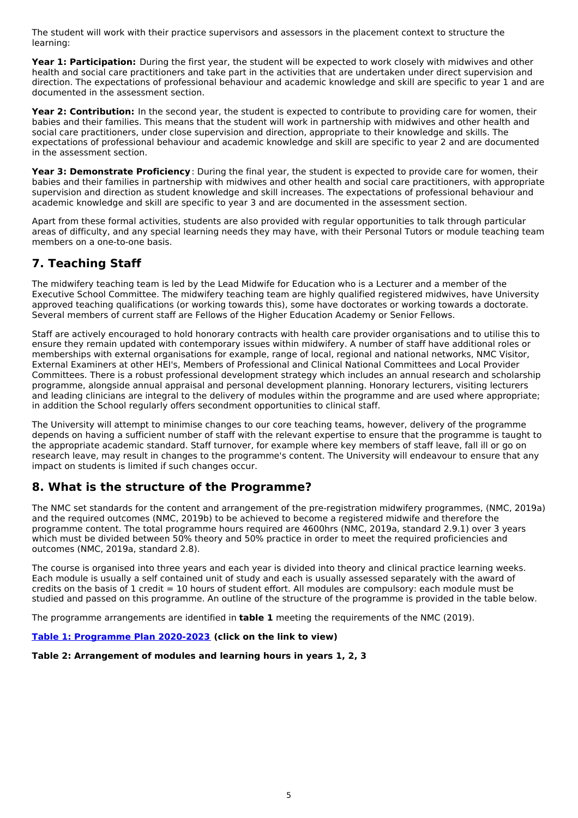The student will work with their practice supervisors and assessors in the placement context to structure the learning:

**Year 1: Participation:** During the first year, the student will be expected to work closely with midwives and other health and social care practitioners and take part in the activities that are undertaken under direct supervision and direction. The expectations of professional behaviour and academic knowledge and skill are specific to year 1 and are documented in the assessment section.

**Year 2: Contribution:** In the second year, the student is expected to contribute to providing care for women, their babies and their families. This means that the student will work in partnership with midwives and other health and social care practitioners, under close supervision and direction, appropriate to their knowledge and skills. The expectations of professional behaviour and academic knowledge and skill are specific to year 2 and are documented in the assessment section.

**Year 3: Demonstrate Proficiency**: During the final year, the student is expected to provide care for women, their babies and their families in partnership with midwives and other health and social care practitioners, with appropriate supervision and direction as student knowledge and skill increases. The expectations of professional behaviour and academic knowledge and skill are specific to year 3 and are documented in the assessment section.

Apart from these formal activities, students are also provided with regular opportunities to talk through particular areas of difficulty, and any special learning needs they may have, with their Personal Tutors or module teaching team members on a one-to-one basis.

## **7. Teaching Staff**

The midwifery teaching team is led by the Lead Midwife for Education who is a Lecturer and a member of the Executive School Committee. The midwifery teaching team are highly qualified registered midwives, have University approved teaching qualifications (or working towards this), some have doctorates or working towards a doctorate. Several members of current staff are Fellows of the Higher Education Academy or Senior Fellows.

Staff are actively encouraged to hold honorary contracts with health care provider organisations and to utilise this to ensure they remain updated with contemporary issues within midwifery. A number of staff have additional roles or memberships with external organisations for example, range of local, regional and national networks, NMC Visitor, External Examiners at other HEI's, Members of Professional and Clinical National Committees and Local Provider Committees. There is a robust professional development strategy which includes an annual research and scholarship programme, alongside annual appraisal and personal development planning. Honorary lecturers, visiting lecturers and leading clinicians are integral to the delivery of modules within the programme and are used where appropriate; in addition the School regularly offers secondment opportunities to clinical staff.

The University will attempt to minimise changes to our core teaching teams, however, delivery of the programme depends on having a sufficient number of staff with the relevant expertise to ensure that the programme is taught to the appropriate academic standard. Staff turnover, for example where key members of staff leave, fall ill or go on research leave, may result in changes to the programme's content. The University will endeavour to ensure that any impact on students is limited if such changes occur.

## **8. What is the structure of the Programme?**

The NMC set standards for the content and arrangement of the pre-registration midwifery programmes, (NMC, 2019a) and the required outcomes (NMC, 2019b) to be achieved to become a registered midwife and therefore the programme content. The total programme hours required are 4600hrs (NMC, 2019a, standard 2.9.1) over 3 years which must be divided between 50% theory and 50% practice in order to meet the required proficiencies and outcomes (NMC, 2019a, standard 2.8).

The course is organised into three years and each year is divided into theory and clinical practice learning weeks. Each module is usually a self contained unit of study and each is usually assessed separately with the award of credits on the basis of 1 credit = 10 hours of student effort. All modules are compulsory: each module must be studied and passed on this programme. An outline of the structure of the programme is provided in the table below.

The programme arrangements are identified in **table 1** meeting the requirements of the NMC (2019).

### **Table 1: [Programme](https://keeleacuk.sharepoint.com/:i:/s/SAS-QualityAssuranceSharedFiles/EY9pq02d201Bj9r7gY_UAwgByxEQiKR-SEr56uXGjA-1BQ?e=Ur5GP0) Plan 2020-2023 (click on the link to view)**

### **Table 2: Arrangement of modules and learning hours in years 1, 2, 3**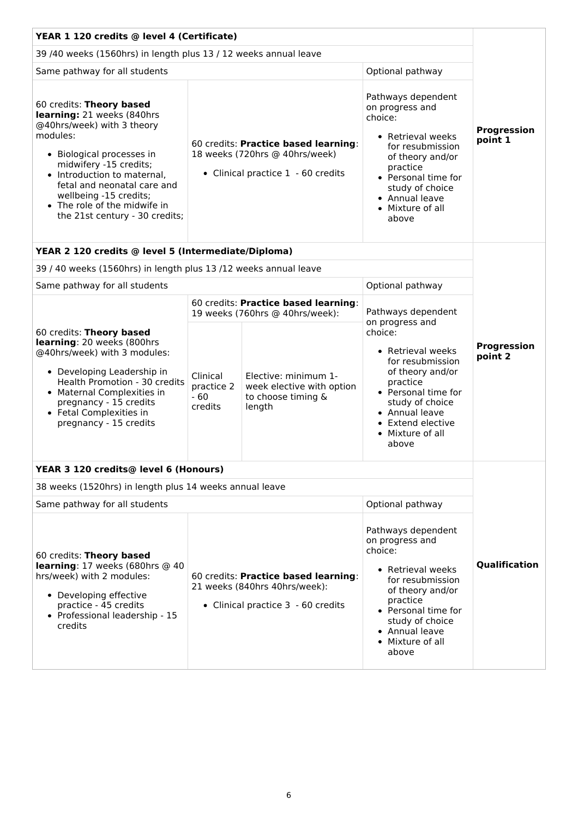| YEAR 1 120 credits @ level 4 (Certificate)                                                                                                                                                                                                                                                                        |                                                                                                              |                                                                                   |                                                                                                                                                                                                                    |                        |
|-------------------------------------------------------------------------------------------------------------------------------------------------------------------------------------------------------------------------------------------------------------------------------------------------------------------|--------------------------------------------------------------------------------------------------------------|-----------------------------------------------------------------------------------|--------------------------------------------------------------------------------------------------------------------------------------------------------------------------------------------------------------------|------------------------|
| 39 /40 weeks (1560hrs) in length plus 13 / 12 weeks annual leave                                                                                                                                                                                                                                                  |                                                                                                              |                                                                                   |                                                                                                                                                                                                                    |                        |
| Same pathway for all students                                                                                                                                                                                                                                                                                     |                                                                                                              |                                                                                   | Optional pathway                                                                                                                                                                                                   |                        |
| 60 credits: Theory based<br>learning: 21 weeks (840hrs<br>@40hrs/week) with 3 theory<br>modules:<br>• Biological processes in<br>midwifery -15 credits;<br>• Introduction to maternal,<br>fetal and neonatal care and<br>wellbeing -15 credits;<br>• The role of the midwife in<br>the 21st century - 30 credits; | 60 credits: Practice based learning:<br>18 weeks (720hrs @ 40hrs/week)<br>• Clinical practice 1 - 60 credits |                                                                                   | Pathways dependent<br>on progress and<br>choice:<br>• Retrieval weeks<br>for resubmission<br>of theory and/or<br>practice<br>• Personal time for<br>study of choice<br>• Annual leave<br>• Mixture of all<br>above | Progression<br>point 1 |
| YEAR 2 120 credits @ level 5 (Intermediate/Diploma)                                                                                                                                                                                                                                                               |                                                                                                              |                                                                                   |                                                                                                                                                                                                                    |                        |
| 39 / 40 weeks (1560hrs) in length plus 13 /12 weeks annual leave                                                                                                                                                                                                                                                  |                                                                                                              |                                                                                   |                                                                                                                                                                                                                    |                        |
| Same pathway for all students                                                                                                                                                                                                                                                                                     |                                                                                                              |                                                                                   | Optional pathway                                                                                                                                                                                                   |                        |
|                                                                                                                                                                                                                                                                                                                   | 60 credits: Practice based learning:<br>19 weeks (760hrs @ 40hrs/week):                                      |                                                                                   | Pathways dependent<br>on progress and                                                                                                                                                                              |                        |
| 60 credits: Theory based<br>learning: 20 weeks (800hrs<br>@40hrs/week) with 3 modules:<br>• Developing Leadership in<br>Health Promotion - 30 credits<br>• Maternal Complexities in<br>pregnancy - 15 credits<br>• Fetal Complexities in<br>pregnancy - 15 credits                                                | Clinical<br>practice 2<br>$-60$<br>credits                                                                   | Elective: minimum 1-<br>week elective with option<br>to choose timing &<br>length | choice:<br>• Retrieval weeks<br>for resubmission<br>of theory and/or<br>practice<br>• Personal time for<br>study of choice<br>• Annual leave<br>• Extend elective<br>• Mixture of all<br>above                     | Progression<br>point 2 |
| YEAR 3 120 credits@ level 6 (Honours)                                                                                                                                                                                                                                                                             |                                                                                                              |                                                                                   |                                                                                                                                                                                                                    |                        |
| 38 weeks (1520hrs) in length plus 14 weeks annual leave                                                                                                                                                                                                                                                           |                                                                                                              |                                                                                   |                                                                                                                                                                                                                    |                        |
| Same pathway for all students                                                                                                                                                                                                                                                                                     |                                                                                                              |                                                                                   | Optional pathway                                                                                                                                                                                                   |                        |
| 60 credits: Theory based<br>learning: 17 weeks (680hrs @ 40<br>hrs/week) with 2 modules:<br>• Developing effective<br>practice - 45 credits<br>• Professional leadership - 15<br>credits                                                                                                                          | 60 credits: Practice based learning:<br>21 weeks (840hrs 40hrs/week):<br>• Clinical practice 3 - 60 credits  |                                                                                   | Pathways dependent<br>on progress and<br>choice:<br>• Retrieval weeks<br>for resubmission<br>of theory and/or<br>practice<br>• Personal time for<br>study of choice<br>• Annual leave<br>• Mixture of all<br>above | Qualification          |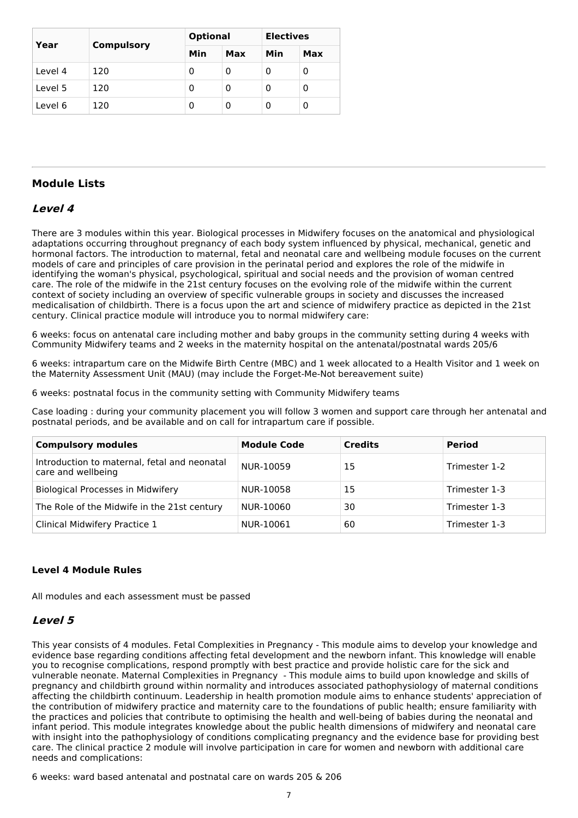| Year    |            | <b>Optional</b> |     | <b>Electives</b> |     |
|---------|------------|-----------------|-----|------------------|-----|
|         | Compulsory | Min             | Max | Min              | Max |
| Level 4 | 120        | 0               | 0   | O                | 0   |
| Level 5 | 120        | 0               | 0   | 0                | 0   |
| Level 6 | 120        | 0               | 0   | 0                | 0   |

### **Module Lists**

### **Level 4**

There are 3 modules within this year. Biological processes in Midwifery focuses on the anatomical and physiological adaptations occurring throughout pregnancy of each body system influenced by physical, mechanical, genetic and hormonal factors. The introduction to maternal, fetal and neonatal care and wellbeing module focuses on the current models of care and principles of care provision in the perinatal period and explores the role of the midwife in identifying the woman's physical, psychological, spiritual and social needs and the provision of woman centred care. The role of the midwife in the 21st century focuses on the evolving role of the midwife within the current context of society including an overview of specific vulnerable groups in society and discusses the increased medicalisation of childbirth. There is a focus upon the art and science of midwifery practice as depicted in the 21st century. Clinical practice module will introduce you to normal midwifery care:

6 weeks: focus on antenatal care including mother and baby groups in the community setting during 4 weeks with Community Midwifery teams and 2 weeks in the maternity hospital on the antenatal/postnatal wards 205/6

6 weeks: intrapartum care on the Midwife Birth Centre (MBC) and 1 week allocated to a Health Visitor and 1 week on the Maternity Assessment Unit (MAU) (may include the Forget-Me-Not bereavement suite)

6 weeks: postnatal focus in the community setting with Community Midwifery teams

Case loading : during your community placement you will follow 3 women and support care through her antenatal and postnatal periods, and be available and on call for intrapartum care if possible.

| <b>Compulsory modules</b>                                          | <b>Module Code</b> | <b>Credits</b> | <b>Period</b> |
|--------------------------------------------------------------------|--------------------|----------------|---------------|
| Introduction to maternal, fetal and neonatal<br>care and wellbeing | NUR-10059          | 15             | Trimester 1-2 |
| <b>Biological Processes in Midwifery</b>                           | NUR-10058          | 15             | Trimester 1-3 |
| The Role of the Midwife in the 21st century                        | NUR-10060          | 30             | Trimester 1-3 |
| Clinical Midwifery Practice 1                                      | NUR-10061          | 60             | Trimester 1-3 |

### **Level 4 Module Rules**

All modules and each assessment must be passed

### **Level 5**

This year consists of 4 modules. Fetal Complexities in Pregnancy - This module aims to develop your knowledge and evidence base regarding conditions affecting fetal development and the newborn infant. This knowledge will enable you to recognise complications, respond promptly with best practice and provide holistic care for the sick and vulnerable neonate. Maternal Complexities in Pregnancy - This module aims to build upon knowledge and skills of pregnancy and childbirth ground within normality and introduces associated pathophysiology of maternal conditions affecting the childbirth continuum. Leadership in health promotion module aims to enhance students' appreciation of the contribution of midwifery practice and maternity care to the foundations of public health; ensure familiarity with the practices and policies that contribute to optimising the health and well-being of babies during the neonatal and infant period. This module integrates knowledge about the public health dimensions of midwifery and neonatal care with insight into the pathophysiology of conditions complicating pregnancy and the evidence base for providing best care. The clinical practice 2 module will involve participation in care for women and newborn with additional care needs and complications:

6 weeks: ward based antenatal and postnatal care on wards 205 & 206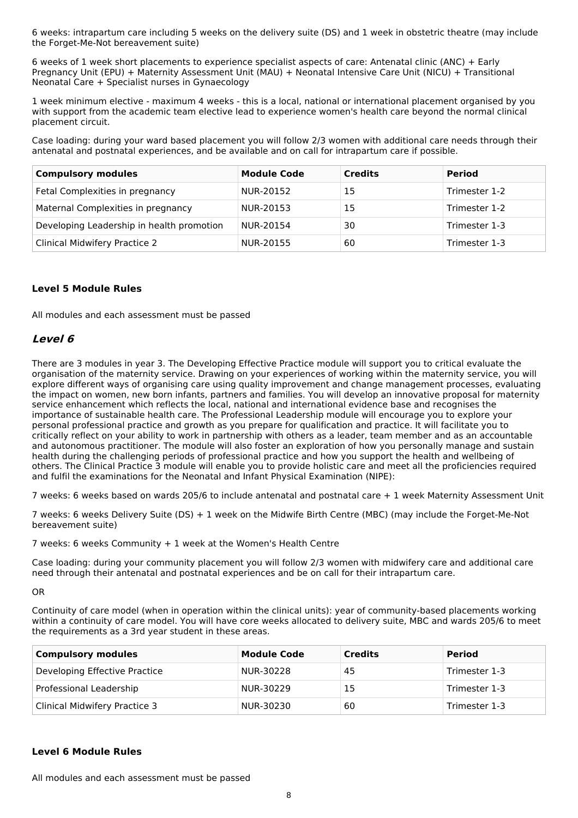6 weeks: intrapartum care including 5 weeks on the delivery suite (DS) and 1 week in obstetric theatre (may include the Forget-Me-Not bereavement suite)

6 weeks of 1 week short placements to experience specialist aspects of care: Antenatal clinic (ANC) + Early Pregnancy Unit (EPU) + Maternity Assessment Unit (MAU) + Neonatal Intensive Care Unit (NICU) + Transitional Neonatal Care + Specialist nurses in Gynaecology

1 week minimum elective - maximum 4 weeks - this is a local, national or international placement organised by you with support from the academic team elective lead to experience women's health care beyond the normal clinical placement circuit.

Case loading: during your ward based placement you will follow 2/3 women with additional care needs through their antenatal and postnatal experiences, and be available and on call for intrapartum care if possible.

| <b>Compulsory modules</b>                 | <b>Module Code</b> | <b>Credits</b> | <b>Period</b> |
|-------------------------------------------|--------------------|----------------|---------------|
| Fetal Complexities in pregnancy           | NUR-20152          | 15             | Trimester 1-2 |
| Maternal Complexities in pregnancy        | NUR-20153          | 15             | Trimester 1-2 |
| Developing Leadership in health promotion | NUR-20154          | 30             | Trimester 1-3 |
| <b>Clinical Midwifery Practice 2</b>      | NUR-20155          | 60             | Trimester 1-3 |

### **Level 5 Module Rules**

All modules and each assessment must be passed

### **Level 6**

There are 3 modules in year 3. The Developing Effective Practice module will support you to critical evaluate the organisation of the maternity service. Drawing on your experiences of working within the maternity service, you will explore different ways of organising care using quality improvement and change management processes, evaluating the impact on women, new born infants, partners and families. You will develop an innovative proposal for maternity service enhancement which reflects the local, national and international evidence base and recognises the importance of sustainable health care. The Professional Leadership module will encourage you to explore your personal professional practice and growth as you prepare for qualification and practice. It will facilitate you to critically reflect on your ability to work in partnership with others as a leader, team member and as an accountable and autonomous practitioner. The module will also foster an exploration of how you personally manage and sustain health during the challenging periods of professional practice and how you support the health and wellbeing of others. The Clinical Practice 3 module will enable you to provide holistic care and meet all the proficiencies required and fulfil the examinations for the Neonatal and Infant Physical Examination (NIPE):

7 weeks: 6 weeks based on wards 205/6 to include antenatal and postnatal care + 1 week Maternity Assessment Unit

7 weeks: 6 weeks Delivery Suite (DS) + 1 week on the Midwife Birth Centre (MBC) (may include the Forget-Me-Not bereavement suite)

7 weeks: 6 weeks Community + 1 week at the Women's Health Centre

Case loading: during your community placement you will follow 2/3 women with midwifery care and additional care need through their antenatal and postnatal experiences and be on call for their intrapartum care.

OR

Continuity of care model (when in operation within the clinical units): year of community-based placements working within a continuity of care model. You will have core weeks allocated to delivery suite, MBC and wards 205/6 to meet the requirements as a 3rd year student in these areas.

| <b>Compulsory modules</b>     | <b>Module Code</b> | <b>Credits</b> | <b>Period</b> |
|-------------------------------|--------------------|----------------|---------------|
| Developing Effective Practice | NUR-30228          | 45             | Trimester 1-3 |
| Professional Leadership       | NUR-30229          | 15             | Trimester 1-3 |
| Clinical Midwifery Practice 3 | NUR-30230          | 60             | Trimester 1-3 |

### **Level 6 Module Rules**

All modules and each assessment must be passed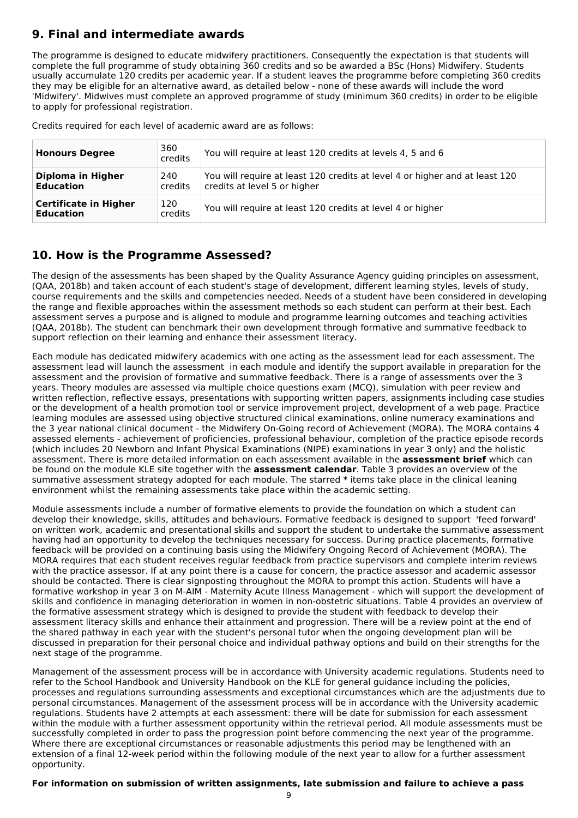# **9. Final and intermediate awards**

The programme is designed to educate midwifery practitioners. Consequently the expectation is that students will complete the full programme of study obtaining 360 credits and so be awarded a BSc (Hons) Midwifery. Students usually accumulate 120 credits per academic year. If a student leaves the programme before completing 360 credits they may be eligible for an alternative award, as detailed below - none of these awards will include the word 'Midwifery'. Midwives must complete an approved programme of study (minimum 360 credits) in order to be eligible to apply for professional registration.

Credits required for each level of academic award are as follows:

| <b>Honours Degree</b>                            | 360<br>credits | You will require at least 120 credits at levels 4, 5 and 6                                                  |
|--------------------------------------------------|----------------|-------------------------------------------------------------------------------------------------------------|
| Diploma in Higher<br><b>Education</b>            | 240<br>credits | You will require at least 120 credits at level 4 or higher and at least 120<br>credits at level 5 or higher |
| <b>Certificate in Higher</b><br><b>Education</b> | 120<br>credits | You will require at least 120 credits at level 4 or higher                                                  |

# **10. How is the Programme Assessed?**

The design of the assessments has been shaped by the Quality Assurance Agency guiding principles on assessment, (QAA, 2018b) and taken account of each student's stage of development, different learning styles, levels of study, course requirements and the skills and competencies needed. Needs of a student have been considered in developing the range and flexible approaches within the assessment methods so each student can perform at their best. Each assessment serves a purpose and is aligned to module and programme learning outcomes and teaching activities (QAA, 2018b). The student can benchmark their own development through formative and summative feedback to support reflection on their learning and enhance their assessment literacy.

Each module has dedicated midwifery academics with one acting as the assessment lead for each assessment. The assessment lead will launch the assessment in each module and identify the support available in preparation for the assessment and the provision of formative and summative feedback. There is a range of assessments over the 3 years. Theory modules are assessed via multiple choice questions exam (MCQ), simulation with peer review and written reflection, reflective essays, presentations with supporting written papers, assignments including case studies or the development of a health promotion tool or service improvement project, development of a web page. Practice learning modules are assessed using objective structured clinical examinations, online numeracy examinations and the 3 year national clinical document - the Midwifery On-Going record of Achievement (MORA). The MORA contains 4 assessed elements - achievement of proficiencies, professional behaviour, completion of the practice episode records (which includes 20 Newborn and Infant Physical Examinations (NIPE) examinations in year 3 only) and the holistic assessment. There is more detailed information on each assessment available in the **assessment brief** which can be found on the module KLE site together with the **assessment calendar**. Table 3 provides an overview of the summative assessment strategy adopted for each module. The starred \* items take place in the clinical leaning environment whilst the remaining assessments take place within the academic setting.

Module assessments include a number of formative elements to provide the foundation on which a student can develop their knowledge, skills, attitudes and behaviours. Formative feedback is designed to support 'feed forward' on written work, academic and presentational skills and support the student to undertake the summative assessment having had an opportunity to develop the techniques necessary for success. During practice placements, formative feedback will be provided on a continuing basis using the Midwifery Ongoing Record of Achievement (MORA). The MORA requires that each student receives regular feedback from practice supervisors and complete interim reviews with the practice assessor. If at any point there is a cause for concern, the practice assessor and academic assessor should be contacted. There is clear signposting throughout the MORA to prompt this action. Students will have a formative workshop in year 3 on M-AIM - Maternity Acute Illness Management - which will support the development of skills and confidence in managing deterioration in women in non-obstetric situations. Table 4 provides an overview of the formative assessment strategy which is designed to provide the student with feedback to develop their assessment literacy skills and enhance their attainment and progression. There will be a review point at the end of the shared pathway in each year with the student's personal tutor when the ongoing development plan will be discussed in preparation for their personal choice and individual pathway options and build on their strengths for the next stage of the programme.

Management of the assessment process will be in accordance with University academic regulations. Students need to refer to the School Handbook and University Handbook on the KLE for general guidance including the policies, processes and regulations surrounding assessments and exceptional circumstances which are the adjustments due to personal circumstances. Management of the assessment process will be in accordance with the University academic regulations. Students have 2 attempts at each assessment: there will be date for submission for each assessment within the module with a further assessment opportunity within the retrieval period. All module assessments must be successfully completed in order to pass the progression point before commencing the next year of the programme. Where there are exceptional circumstances or reasonable adjustments this period may be lengthened with an extension of a final 12-week period within the following module of the next year to allow for a further assessment opportunity.

### **For information on submission of written assignments, late submission and failure to achieve a pass**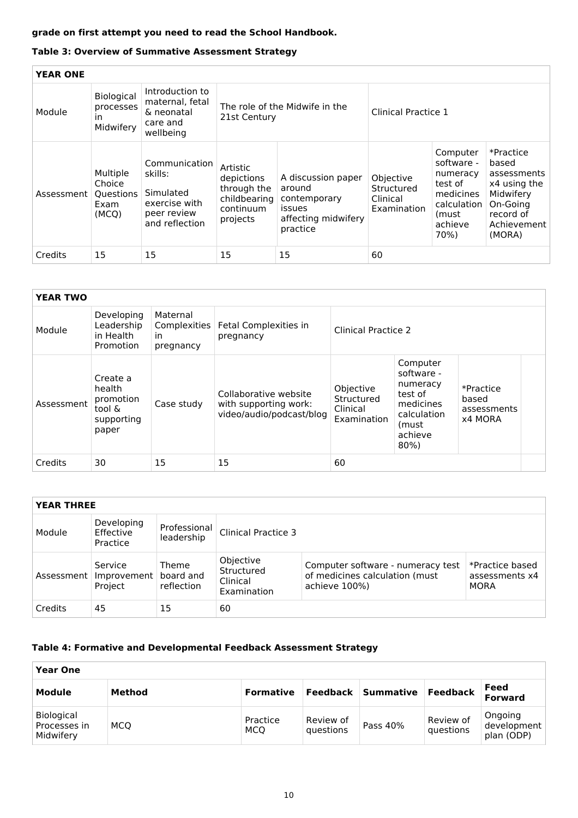## **grade on first attempt you need to read the School Handbook.**

### **Table 3: Overview of Summative Assessment Strategy**

| <b>YEAR ONE</b> |                                                   |                                                                                                                                                    |                                                                                |                                                                                           |                                                    |                                                                                                       |                                                                                                                  |
|-----------------|---------------------------------------------------|----------------------------------------------------------------------------------------------------------------------------------------------------|--------------------------------------------------------------------------------|-------------------------------------------------------------------------------------------|----------------------------------------------------|-------------------------------------------------------------------------------------------------------|------------------------------------------------------------------------------------------------------------------|
| Module          | <b>Biological</b><br>processes<br>ın<br>Midwifery | Introduction to<br>maternal, fetal<br>The role of the Midwife in the<br>Clinical Practice 1<br>& neonatal<br>21st Century<br>care and<br>wellbeing |                                                                                |                                                                                           |                                                    |                                                                                                       |                                                                                                                  |
| Assessment      | Multiple<br>Choice<br>Questions<br>Exam<br>(MCQ)  | Communication<br>skills:<br>Simulated<br>exercise with<br>peer review<br>and reflection                                                            | Artistic<br>depictions<br>through the<br>childbearing<br>continuum<br>projects | A discussion paper<br>around<br>contemporary<br>issues<br>affecting midwifery<br>practice | Objective<br>Structured<br>Clinical<br>Examination | Computer<br>software -<br>numeracy<br>test of<br>medicines<br>calculation<br>(must<br>achieve<br>70%) | *Practice<br>based<br>assessments<br>x4 using the<br>Midwifery<br>On-Going<br>record of<br>Achievement<br>(MORA) |
| Credits         | 15                                                | 15                                                                                                                                                 | 15                                                                             | 15                                                                                        | 60                                                 |                                                                                                       |                                                                                                                  |

| <b>YEAR TWO</b> |                                                                  |                                             |                                                                            |                                                    |                                                                                                         |                                              |
|-----------------|------------------------------------------------------------------|---------------------------------------------|----------------------------------------------------------------------------|----------------------------------------------------|---------------------------------------------------------------------------------------------------------|----------------------------------------------|
| Module          | Developing<br>Leadership<br>in Health<br>Promotion               | Maternal<br>Complexities<br>in<br>pregnancy | Fetal Complexities in<br>pregnancy                                         | Clinical Practice 2                                |                                                                                                         |                                              |
| Assessment      | Create a<br>health<br>promotion<br>tool &<br>supporting<br>paper | Case study                                  | Collaborative website<br>with supporting work:<br>video/audio/podcast/blog | Objective<br>Structured<br>Clinical<br>Examination | Computer<br>software -<br>numeracy<br>test of<br>medicines<br>calculation<br>(must<br>achieve<br>$80\%$ | *Practice<br>based<br>assessments<br>x4 MORA |
| Credits         | 30                                                               | 15                                          | 15                                                                         | 60                                                 |                                                                                                         |                                              |

| <b>YEAR THREE</b> |                                                  |                                  |                                                    |                                                                                      |                                                  |
|-------------------|--------------------------------------------------|----------------------------------|----------------------------------------------------|--------------------------------------------------------------------------------------|--------------------------------------------------|
| Module            | Developing<br>Effective<br>Practice              | Professional<br>leadership       | Clinical Practice 3                                |                                                                                      |                                                  |
|                   | Service<br>Assessment   Improvement  <br>Project | Theme<br>board and<br>reflection | Objective<br>Structured<br>Clinical<br>Examination | Computer software - numeracy test<br>of medicines calculation (must<br>achieve 100%) | *Practice based<br>assessments x4<br><b>MORA</b> |
| Credits           | 45                                               | 15                               | 60                                                 |                                                                                      |                                                  |

### **Table 4: Formative and Developmental Feedback Assessment Strategy**

| <b>Year One</b>                         |        |                        |                        |                    |                        |                                      |
|-----------------------------------------|--------|------------------------|------------------------|--------------------|------------------------|--------------------------------------|
| Module                                  | Method | <b>Formative</b>       |                        | Feedback Summative | Feedback               | Feed<br><b>Forward</b>               |
| Biological<br>Processes in<br>Midwifery | MCO    | Practice<br><b>MCO</b> | Review of<br>questions | Pass 40%           | Review of<br>questions | Ongoing<br>development<br>plan (ODP) |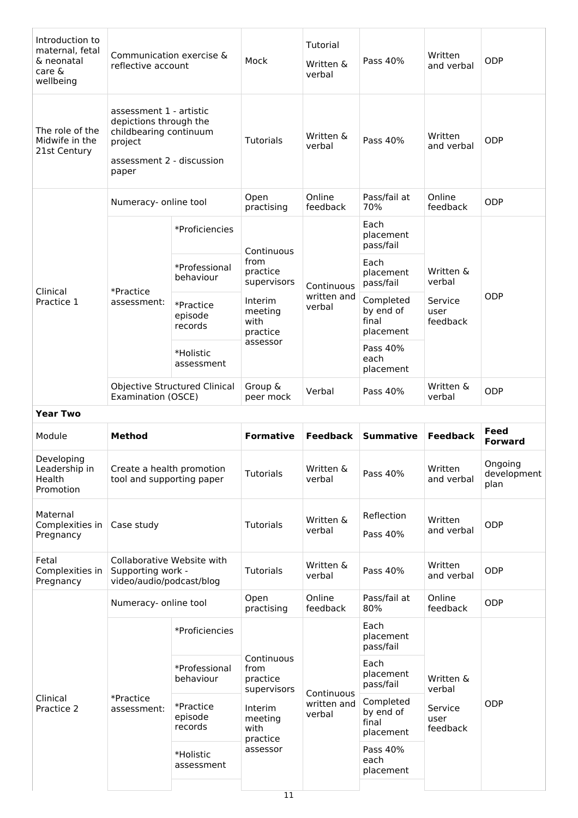| Introduction to<br>maternal, fetal<br>& neonatal<br>care &<br>wellbeing | Communication exercise &<br>reflective account                                                                               |                                 | Mock                                      | Tutorial<br>Written &<br>verbal     | Pass 40%                                     | Written<br>and verbal       | ODP                            |
|-------------------------------------------------------------------------|------------------------------------------------------------------------------------------------------------------------------|---------------------------------|-------------------------------------------|-------------------------------------|----------------------------------------------|-----------------------------|--------------------------------|
| The role of the<br>Midwife in the<br>21st Century                       | assessment 1 - artistic<br>depictions through the<br>childbearing continuum<br>project<br>assessment 2 - discussion<br>paper |                                 | <b>Tutorials</b>                          | Written &<br>verbal                 | Pass 40%                                     | Written<br>and verbal       | <b>ODP</b>                     |
|                                                                         | Numeracy- online tool                                                                                                        |                                 | Open<br>practising                        | Online<br>feedback                  | Pass/fail at<br>70%                          | Online<br>feedback          | ODP                            |
|                                                                         |                                                                                                                              | *Proficiencies                  | Continuous                                |                                     | Each<br>placement<br>pass/fail               |                             |                                |
|                                                                         |                                                                                                                              | *Professional<br>behaviour      | from<br>practice<br>supervisors           | Continuous                          | Each<br>placement<br>pass/fail               | Written &<br>verbal         |                                |
| Clinical<br>Practice 1                                                  | *Practice<br>assessment:                                                                                                     | *Practice<br>episode<br>records | Interim<br>meeting<br>with<br>practice    | written and<br>verbal               | Completed<br>by end of<br>final<br>placement | Service<br>user<br>feedback | ODP                            |
|                                                                         |                                                                                                                              | *Holistic<br>assessment         | assessor                                  |                                     | Pass 40%<br>each<br>placement                |                             |                                |
|                                                                         | Examination (OSCE)                                                                                                           | Objective Structured Clinical   | Group &<br>peer mock                      | Verbal                              | Pass 40%                                     | Written &<br>verbal         | ODP                            |
| <b>Year Two</b>                                                         |                                                                                                                              |                                 |                                           |                                     |                                              |                             |                                |
|                                                                         |                                                                                                                              |                                 |                                           |                                     |                                              |                             |                                |
| Module                                                                  | <b>Method</b>                                                                                                                |                                 | <b>Formative</b>                          | <b>Feedback</b>                     | <b>Summative</b>                             | <b>Feedback</b>             | Feed<br><b>Forward</b>         |
| Developing<br>Leadership in<br>Health<br>Promotion                      | Create a health promotion<br>tool and supporting paper                                                                       |                                 | <b>Tutorials</b>                          | Written &<br>verbal                 | Pass 40%                                     | Written<br>and verbal       | Ongoing<br>development<br>plan |
| Maternal<br>Complexities in<br>Pregnancy                                | Case study                                                                                                                   |                                 | <b>Tutorials</b>                          | Written &<br>verbal                 | Reflection<br>Pass 40%                       | Written<br>and verbal       | ODP                            |
| Fetal<br>Complexities in<br>Pregnancy                                   | Collaborative Website with<br>Supporting work -<br>video/audio/podcast/blog                                                  |                                 | <b>Tutorials</b>                          | Written &<br>verbal                 | Pass 40%                                     | Written<br>and verbal       | ODP                            |
|                                                                         | Numeracy- online tool                                                                                                        |                                 | Open<br>practising                        | Online<br>feedback                  | Pass/fail at<br>80%                          | Online<br>feedback          | ODP                            |
|                                                                         |                                                                                                                              | *Proficiencies                  |                                           |                                     | Each<br>placement<br>pass/fail               |                             |                                |
|                                                                         |                                                                                                                              | *Professional<br>behaviour      | Continuous<br>from<br>practice            |                                     | Each<br>placement<br>pass/fail               | Written &<br>verbal         |                                |
| Clinical<br>Practice 2                                                  | *Practice<br>assessment:                                                                                                     | *Practice<br>episode<br>records | supervisors<br>Interim<br>meeting<br>with | Continuous<br>written and<br>verbal | Completed<br>by end of<br>final<br>placement | Service<br>user<br>feedback | <b>ODP</b>                     |
|                                                                         |                                                                                                                              | *Holistic<br>assessment         | practice<br>assessor                      |                                     | Pass 40%<br>each<br>placement                |                             |                                |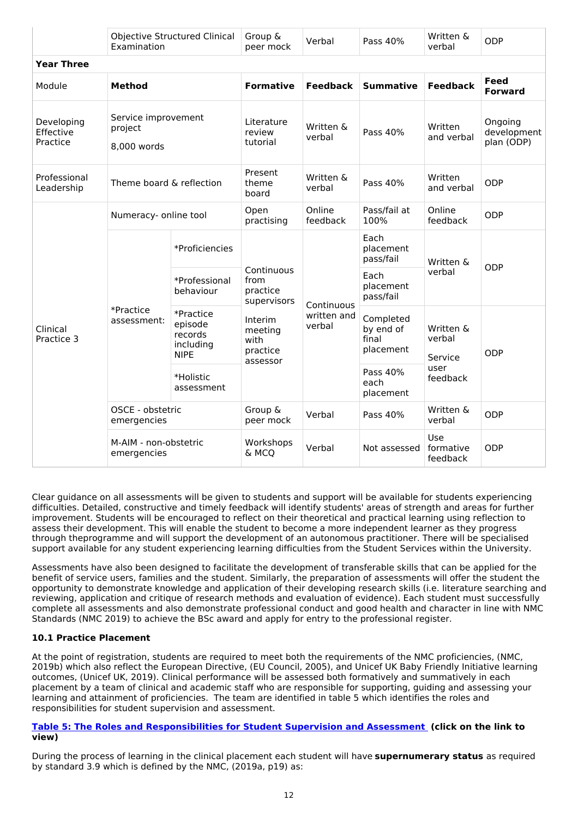|                                     | Examination                                   | <b>Objective Structured Clinical</b>                        | Group &<br>peer mock                                                                                       | Verbal                              | Pass 40%                                     | Written &<br>verbal                                                       | ODP                                  |
|-------------------------------------|-----------------------------------------------|-------------------------------------------------------------|------------------------------------------------------------------------------------------------------------|-------------------------------------|----------------------------------------------|---------------------------------------------------------------------------|--------------------------------------|
| <b>Year Three</b>                   |                                               |                                                             |                                                                                                            |                                     |                                              |                                                                           |                                      |
| Module                              | <b>Method</b>                                 |                                                             | <b>Formative</b>                                                                                           | <b>Feedback</b>                     | <b>Summative</b>                             | <b>Feedback</b>                                                           | <b>Feed</b><br><b>Forward</b>        |
| Developing<br>Effective<br>Practice | Service improvement<br>project<br>8,000 words |                                                             | Literature<br>review<br>tutorial                                                                           | Written &<br>verbal                 | Pass 40%                                     | Written<br>and verbal                                                     | Ongoing<br>development<br>plan (ODP) |
| Professional<br>Leadership          | Theme board & reflection                      |                                                             | Present<br>theme<br>board                                                                                  | Written &<br>verbal                 | Pass 40%                                     | Written<br>and verbal                                                     | ODP                                  |
| Clinical<br>Practice 3              | Numeracy- online tool                         |                                                             | Open<br>practising                                                                                         | Online<br>feedback                  | Pass/fail at<br>100%                         | Online<br>feedback                                                        | ODP                                  |
|                                     | *Practice<br>assessment:                      | *Proficiencies                                              | Continuous<br>from<br>practice<br>supervisors<br><b>Interim</b><br>meeting<br>with<br>practice<br>assessor | Continuous<br>written and<br>verbal | Each<br>placement<br>pass/fail               | Written &<br>verbal<br>Written &<br>verbal<br>Service<br>user<br>feedback | ODP                                  |
|                                     |                                               | *Professional<br>behaviour                                  |                                                                                                            |                                     | Each<br>placement<br>pass/fail               |                                                                           |                                      |
|                                     |                                               | *Practice<br>episode<br>records<br>including<br><b>NIPE</b> |                                                                                                            |                                     | Completed<br>by end of<br>final<br>placement |                                                                           | ODP                                  |
|                                     |                                               | *Holistic<br>assessment                                     |                                                                                                            |                                     | Pass 40%<br>each<br>placement                |                                                                           |                                      |
|                                     | OSCE - obstetric<br>emergencies               |                                                             | Group &<br>peer mock                                                                                       | Verbal                              | Pass 40%                                     | Written &<br>verbal                                                       | ODP                                  |
|                                     | M-AIM - non-obstetric<br>emergencies          |                                                             | Workshops<br>& MCQ                                                                                         | Verbal                              | Not assessed                                 | Use<br>formative<br>feedback                                              | ODP                                  |

Clear guidance on all assessments will be given to students and support will be available for students experiencing difficulties. Detailed, constructive and timely feedback will identify students' areas of strength and areas for further improvement. Students will be encouraged to reflect on their theoretical and practical learning using reflection to assess their development. This will enable the student to become a more independent learner as they progress through theprogramme and will support the development of an autonomous practitioner. There will be specialised support available for any student experiencing learning difficulties from the Student Services within the University.

Assessments have also been designed to facilitate the development of transferable skills that can be applied for the benefit of service users, families and the student. Similarly, the preparation of assessments will offer the student the opportunity to demonstrate knowledge and application of their developing research skills (i.e. literature searching and reviewing, application and critique of research methods and evaluation of evidence). Each student must successfully complete all assessments and also demonstrate professional conduct and good health and character in line with NMC Standards (NMC 2019) to achieve the BSc award and apply for entry to the professional register.

### **10.1 Practice Placement**

At the point of registration, students are required to meet both the requirements of the NMC proficiencies, (NMC, 2019b) which also reflect the European Directive, (EU Council, 2005), and Unicef UK Baby Friendly Initiative learning outcomes, (Unicef UK, 2019). Clinical performance will be assessed both formatively and summatively in each placement by a team of clinical and academic staff who are responsible for supporting, guiding and assessing your learning and attainment of proficiencies. The team are identified in table 5 which identifies the roles and responsibilities for student supervision and assessment.

#### **Table 5: The Roles and [Responsibilities](https://keeleacuk.sharepoint.com/:i:/s/SAS-QualityAssuranceSharedFiles/EWTpcIR97E5LmTh0qCe5dekBZf4CN3tLNXejGwysFqPLFQ?e=B73KCo) for Student Supervision and Assessment (click on the link to view)**

During the process of learning in the clinical placement each student will have **supernumerary status** as required by standard 3.9 which is defined by the NMC, (2019a, p19) as: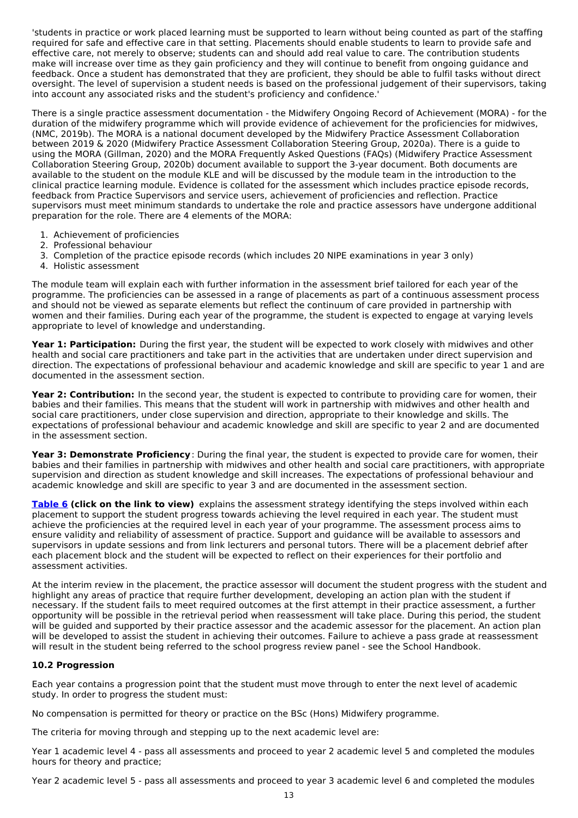'students in practice or work placed learning must be supported to learn without being counted as part of the staffing required for safe and effective care in that setting. Placements should enable students to learn to provide safe and effective care, not merely to observe; students can and should add real value to care. The contribution students make will increase over time as they gain proficiency and they will continue to benefit from ongoing guidance and feedback. Once a student has demonstrated that they are proficient, they should be able to fulfil tasks without direct oversight. The level of supervision a student needs is based on the professional judgement of their supervisors, taking into account any associated risks and the student's proficiency and confidence.'

There is a single practice assessment documentation - the Midwifery Ongoing Record of Achievement (MORA) - for the duration of the midwifery programme which will provide evidence of achievement for the proficiencies for midwives, (NMC, 2019b). The MORA is a national document developed by the Midwifery Practice Assessment Collaboration between 2019 & 2020 (Midwifery Practice Assessment Collaboration Steering Group, 2020a). There is a guide to using the MORA (Gillman, 2020) and the MORA Frequently Asked Questions (FAQs) (Midwifery Practice Assessment Collaboration Steering Group, 2020b) document available to support the 3-year document. Both documents are available to the student on the module KLE and will be discussed by the module team in the introduction to the clinical practice learning module. Evidence is collated for the assessment which includes practice episode records, feedback from Practice Supervisors and service users, achievement of proficiencies and reflection. Practice supervisors must meet minimum standards to undertake the role and practice assessors have undergone additional preparation for the role. There are 4 elements of the MORA:

- 1. Achievement of proficiencies
- 2. Professional behaviour
- 3. Completion of the practice episode records (which includes 20 NIPE examinations in year 3 only)
- 4. Holistic assessment

The module team will explain each with further information in the assessment brief tailored for each year of the programme. The proficiencies can be assessed in a range of placements as part of a continuous assessment process and should not be viewed as separate elements but reflect the continuum of care provided in partnership with women and their families. During each year of the programme, the student is expected to engage at varying levels appropriate to level of knowledge and understanding.

**Year 1: Participation:** During the first year, the student will be expected to work closely with midwives and other health and social care practitioners and take part in the activities that are undertaken under direct supervision and direction. The expectations of professional behaviour and academic knowledge and skill are specific to year 1 and are documented in the assessment section.

**Year 2: Contribution:** In the second year, the student is expected to contribute to providing care for women, their babies and their families. This means that the student will work in partnership with midwives and other health and social care practitioners, under close supervision and direction, appropriate to their knowledge and skills. The expectations of professional behaviour and academic knowledge and skill are specific to year 2 and are documented in the assessment section.

**Year 3: Demonstrate Proficiency**: During the final year, the student is expected to provide care for women, their babies and their families in partnership with midwives and other health and social care practitioners, with appropriate supervision and direction as student knowledge and skill increases. The expectations of professional behaviour and academic knowledge and skill are specific to year 3 and are documented in the assessment section.

**[Table](https://keeleacuk.sharepoint.com/:i:/s/SAS-QualityAssuranceSharedFiles/ERBhLAqHhc5JuGxbWooq0UEBEJB82ckmHTAy6zCQjTAiWQ?e=MfaD1T) 6 (click on the link to view)** explains the assessment strategy identifying the steps involved within each placement to support the student progress towards achieving the level required in each year. The student must achieve the proficiencies at the required level in each year of your programme. The assessment process aims to ensure validity and reliability of assessment of practice. Support and guidance will be available to assessors and supervisors in update sessions and from link lecturers and personal tutors. There will be a placement debrief after each placement block and the student will be expected to reflect on their experiences for their portfolio and assessment activities.

At the interim review in the placement, the practice assessor will document the student progress with the student and highlight any areas of practice that require further development, developing an action plan with the student if necessary. If the student fails to meet required outcomes at the first attempt in their practice assessment, a further opportunity will be possible in the retrieval period when reassessment will take place. During this period, the student will be guided and supported by their practice assessor and the academic assessor for the placement. An action plan will be developed to assist the student in achieving their outcomes. Failure to achieve a pass grade at reassessment will result in the student being referred to the school progress review panel - see the School Handbook.

### **10.2 Progression**

Each year contains a progression point that the student must move through to enter the next level of academic study. In order to progress the student must:

No compensation is permitted for theory or practice on the BSc (Hons) Midwifery programme.

The criteria for moving through and stepping up to the next academic level are:

Year 1 academic level 4 - pass all assessments and proceed to year 2 academic level 5 and completed the modules hours for theory and practice;

Year 2 academic level 5 - pass all assessments and proceed to year 3 academic level 6 and completed the modules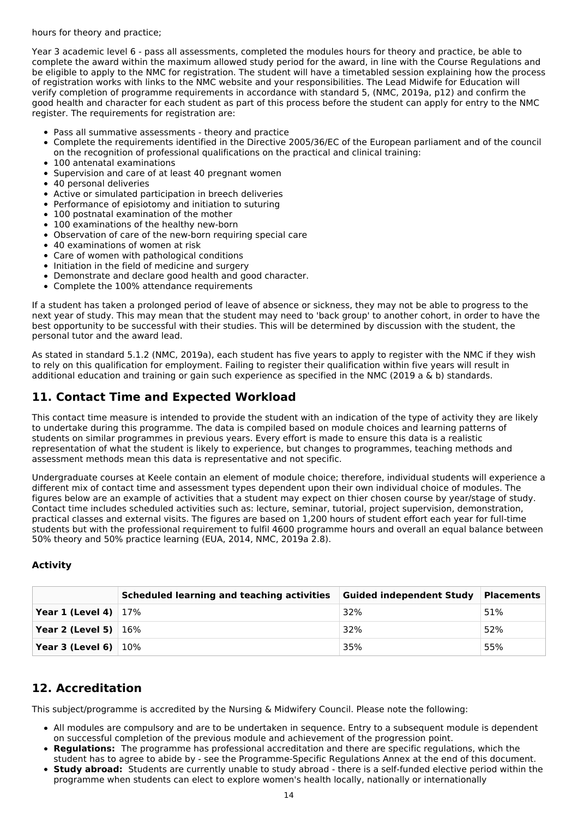hours for theory and practice;

Year 3 academic level 6 - pass all assessments, completed the modules hours for theory and practice, be able to complete the award within the maximum allowed study period for the award, in line with the Course Regulations and be eligible to apply to the NMC for registration. The student will have a timetabled session explaining how the process of registration works with links to the NMC website and your responsibilities. The Lead Midwife for Education will verify completion of programme requirements in accordance with standard 5, (NMC, 2019a, p12) and confirm the good health and character for each student as part of this process before the student can apply for entry to the NMC register. The requirements for registration are:

- Pass all summative assessments theory and practice
- $\bullet$ Complete the requirements identified in the Directive 2005/36/EC of the European parliament and of the council on the recognition of professional qualifications on the practical and clinical training:
- 100 antenatal examinations
- Supervision and care of at least 40 pregnant women
- 40 personal deliveries
- Active or simulated participation in breech deliveries
- Performance of episiotomy and initiation to suturing
- 100 postnatal examination of the mother
- 100 examinations of the healthy new-born  $\bullet$
- Observation of care of the new-born requiring special care  $\bullet$
- 40 examinations of women at risk  $\bullet$
- Care of women with pathological conditions  $\bullet$
- $\bullet$  Initiation in the field of medicine and surgery
- Demonstrate and declare good health and good character.
- Complete the 100% attendance requirements

If a student has taken a prolonged period of leave of absence or sickness, they may not be able to progress to the next year of study. This may mean that the student may need to 'back group' to another cohort, in order to have the best opportunity to be successful with their studies. This will be determined by discussion with the student, the personal tutor and the award lead.

As stated in standard 5.1.2 (NMC, 2019a), each student has five years to apply to register with the NMC if they wish to rely on this qualification for employment. Failing to register their qualification within five years will result in additional education and training or gain such experience as specified in the NMC (2019 a & b) standards.

## **11. Contact Time and Expected Workload**

This contact time measure is intended to provide the student with an indication of the type of activity they are likely to undertake during this programme. The data is compiled based on module choices and learning patterns of students on similar programmes in previous years. Every effort is made to ensure this data is a realistic representation of what the student is likely to experience, but changes to programmes, teaching methods and assessment methods mean this data is representative and not specific.

Undergraduate courses at Keele contain an element of module choice; therefore, individual students will experience a different mix of contact time and assessment types dependent upon their own individual choice of modules. The figures below are an example of activities that a student may expect on thier chosen course by year/stage of study. Contact time includes scheduled activities such as: lecture, seminar, tutorial, project supervision, demonstration, practical classes and external visits. The figures are based on 1,200 hours of student effort each year for full-time students but with the professional requirement to fulfil 4600 programme hours and overall an equal balance between 50% theory and 50% practice learning (EUA, 2014, NMC, 2019a 2.8).

### **Activity**

|                                  | <b>Scheduled learning and teaching activities</b> | Guided independent Study | Placements |
|----------------------------------|---------------------------------------------------|--------------------------|------------|
| <b>Year 1 (Level 4)</b> $ 17\% $ |                                                   | 32%                      | 51%        |
| <b>Year 2 (Level 5)</b> $16\%$   |                                                   | 32%                      | 52%        |
| <b>Year 3 (Level 6)</b> $10\%$   |                                                   | 35%                      | 55%        |

# **12. Accreditation**

This subject/programme is accredited by the Nursing & Midwifery Council. Please note the following:

- All modules are compulsory and are to be undertaken in sequence. Entry to a subsequent module is dependent on successful completion of the previous module and achievement of the progression point.
- **Regulations:** The programme has professional accreditation and there are specific regulations, which the student has to agree to abide by - see the Programme-Specific Regulations Annex at the end of this document.
- **Study abroad:** Students are currently unable to study abroad there is a self-funded elective period within the programme when students can elect to explore women's health locally, nationally or internationally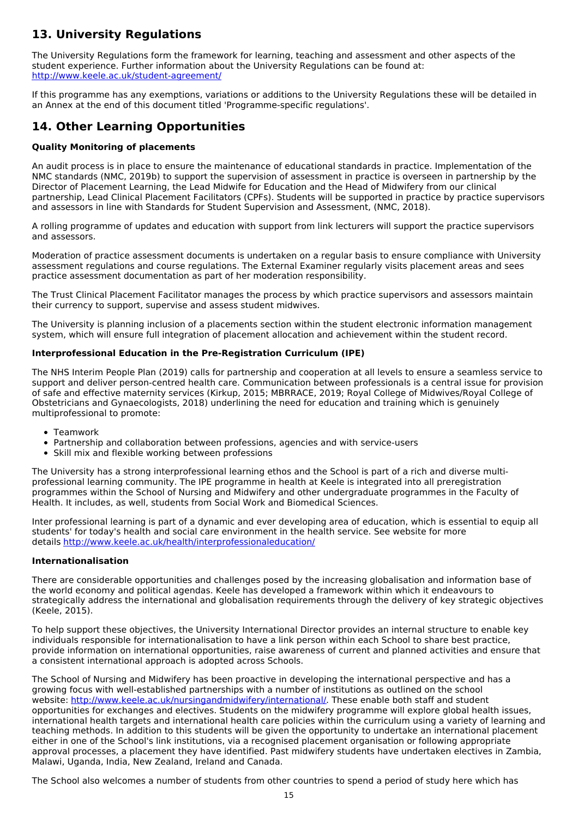# **13. University Regulations**

The University Regulations form the framework for learning, teaching and assessment and other aspects of the student experience. Further information about the University Regulations can be found at: <http://www.keele.ac.uk/student-agreement/>

If this programme has any exemptions, variations or additions to the University Regulations these will be detailed in an Annex at the end of this document titled 'Programme-specific regulations'.

## **14. Other Learning Opportunities**

### **Quality Monitoring of placements**

An audit process is in place to ensure the maintenance of educational standards in practice. Implementation of the NMC standards (NMC, 2019b) to support the supervision of assessment in practice is overseen in partnership by the Director of Placement Learning, the Lead Midwife for Education and the Head of Midwifery from our clinical partnership, Lead Clinical Placement Facilitators (CPFs). Students will be supported in practice by practice supervisors and assessors in line with Standards for Student Supervision and Assessment, (NMC, 2018).

A rolling programme of updates and education with support from link lecturers will support the practice supervisors and assessors.

Moderation of practice assessment documents is undertaken on a regular basis to ensure compliance with University assessment regulations and course regulations. The External Examiner regularly visits placement areas and sees practice assessment documentation as part of her moderation responsibility.

The Trust Clinical Placement Facilitator manages the process by which practice supervisors and assessors maintain their currency to support, supervise and assess student midwives.

The University is planning inclusion of a placements section within the student electronic information management system, which will ensure full integration of placement allocation and achievement within the student record.

### **Interprofessional Education in the Pre-Registration Curriculum (IPE)**

The NHS Interim People Plan (2019) calls for partnership and cooperation at all levels to ensure a seamless service to support and deliver person-centred health care. Communication between professionals is a central issue for provision of safe and effective maternity services (Kirkup, 2015; MBRRACE, 2019; Royal College of Midwives/Royal College of Obstetricians and Gynaecologists, 2018) underlining the need for education and training which is genuinely multiprofessional to promote:

- Teamwork
- Partnership and collaboration between professions, agencies and with service-users
- Skill mix and flexible working between professions

The University has a strong interprofessional learning ethos and the School is part of a rich and diverse multiprofessional learning community. The IPE programme in health at Keele is integrated into all preregistration programmes within the School of Nursing and Midwifery and other undergraduate programmes in the Faculty of Health. It includes, as well, students from Social Work and Biomedical Sciences.

Inter professional learning is part of a dynamic and ever developing area of education, which is essential to equip all students' for today's health and social care environment in the health service. See website for more details <http://www.keele.ac.uk/health/interprofessionaleducation/>

#### **Internationalisation**

There are considerable opportunities and challenges posed by the increasing globalisation and information base of the world economy and political agendas. Keele has developed a framework within which it endeavours to strategically address the international and globalisation requirements through the delivery of key strategic objectives (Keele, 2015).

To help support these objectives, the University International Director provides an internal structure to enable key individuals responsible for internationalisation to have a link person within each School to share best practice, provide information on international opportunities, raise awareness of current and planned activities and ensure that a consistent international approach is adopted across Schools.

The School of Nursing and Midwifery has been proactive in developing the international perspective and has a growing focus with well-established partnerships with a number of institutions as outlined on the school website: <http://www.keele.ac.uk/nursingandmidwifery/international/>. These enable both staff and student opportunities for exchanges and electives. Students on the midwifery programme will explore global health issues, international health targets and international health care policies within the curriculum using a variety of learning and teaching methods. In addition to this students will be given the opportunity to undertake an international placement either in one of the School's link institutions, via a recognised placement organisation or following appropriate approval processes, a placement they have identified. Past midwifery students have undertaken electives in Zambia, Malawi, Uganda, India, New Zealand, Ireland and Canada.

The School also welcomes a number of students from other countries to spend a period of study here which has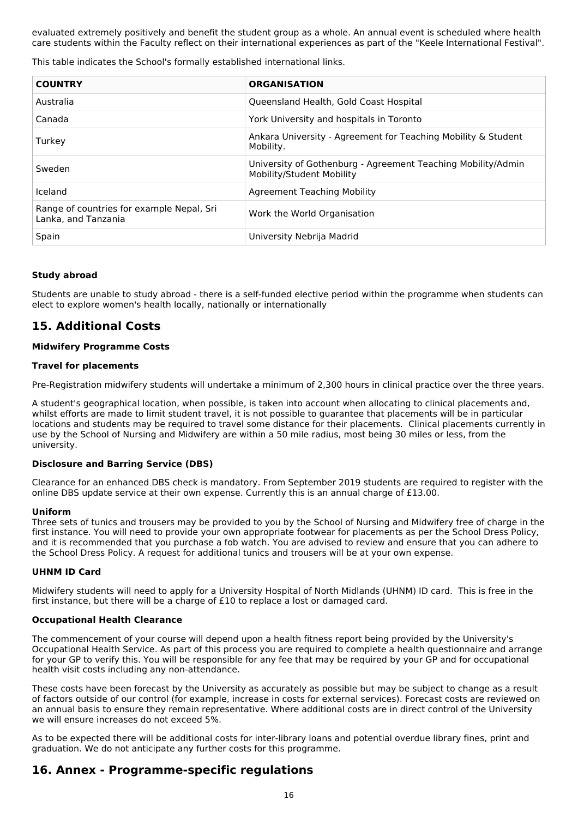evaluated extremely positively and benefit the student group as a whole. An annual event is scheduled where health care students within the Faculty reflect on their international experiences as part of the "Keele International Festival".

This table indicates the School's formally established international links.

| <b>COUNTRY</b>                                                   | <b>ORGANISATION</b>                                                                       |
|------------------------------------------------------------------|-------------------------------------------------------------------------------------------|
| Australia                                                        | Queensland Health, Gold Coast Hospital                                                    |
| Canada                                                           | York University and hospitals in Toronto                                                  |
| Turkey                                                           | Ankara University - Agreement for Teaching Mobility & Student<br>Mobility.                |
| Sweden                                                           | University of Gothenburg - Agreement Teaching Mobility/Admin<br>Mobility/Student Mobility |
| Iceland                                                          | Agreement Teaching Mobility                                                               |
| Range of countries for example Nepal, Sri<br>Lanka, and Tanzania | Work the World Organisation                                                               |
| Spain                                                            | University Nebrija Madrid                                                                 |

#### **Study abroad**

Students are unable to study abroad - there is a self-funded elective period within the programme when students can elect to explore women's health locally, nationally or internationally

## **15. Additional Costs**

#### **Midwifery Programme Costs**

#### **Travel for placements**

Pre-Registration midwifery students will undertake a minimum of 2,300 hours in clinical practice over the three years.

A student's geographical location, when possible, is taken into account when allocating to clinical placements and, whilst efforts are made to limit student travel, it is not possible to guarantee that placements will be in particular locations and students may be required to travel some distance for their placements. Clinical placements currently in use by the School of Nursing and Midwifery are within a 50 mile radius, most being 30 miles or less, from the university.

#### **Disclosure and Barring Service (DBS)**

Clearance for an enhanced DBS check is mandatory. From September 2019 students are required to register with the online DBS update service at their own expense. Currently this is an annual charge of £13.00.

#### **Uniform**

Three sets of tunics and trousers may be provided to you by the School of Nursing and Midwifery free of charge in the first instance. You will need to provide your own appropriate footwear for placements as per the School Dress Policy, and it is recommended that you purchase a fob watch. You are advised to review and ensure that you can adhere to the School Dress Policy. A request for additional tunics and trousers will be at your own expense.

#### **UHNM ID Card**

Midwifery students will need to apply for a University Hospital of North Midlands (UHNM) ID card. This is free in the first instance, but there will be a charge of £10 to replace a lost or damaged card.

#### **Occupational Health Clearance**

The commencement of your course will depend upon a health fitness report being provided by the University's Occupational Health Service. As part of this process you are required to complete a health questionnaire and arrange for your GP to verify this. You will be responsible for any fee that may be required by your GP and for occupational health visit costs including any non-attendance.

These costs have been forecast by the University as accurately as possible but may be subject to change as a result of factors outside of our control (for example, increase in costs for external services). Forecast costs are reviewed on an annual basis to ensure they remain representative. Where additional costs are in direct control of the University we will ensure increases do not exceed 5%.

As to be expected there will be additional costs for inter-library loans and potential overdue library fines, print and graduation. We do not anticipate any further costs for this programme.

### **16. Annex - Programme-specific regulations**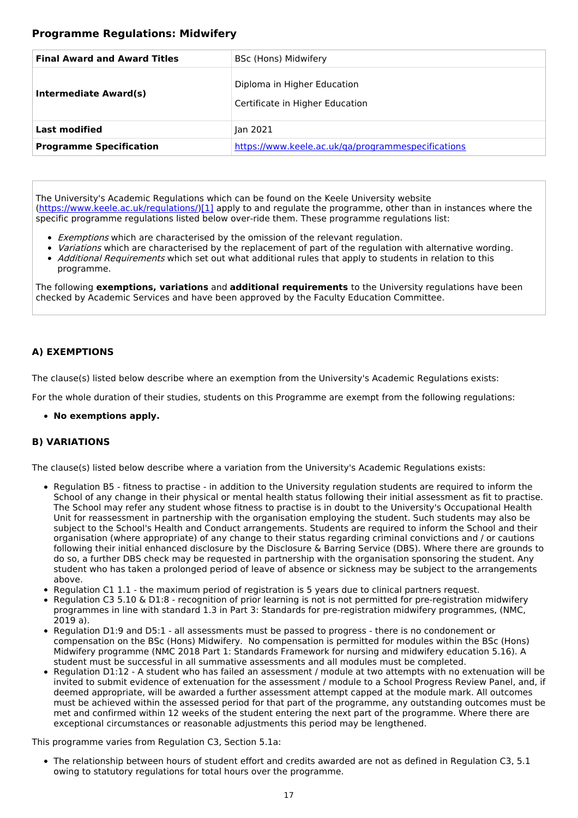### **Programme Regulations: Midwifery**

| <b>Final Award and Award Titles</b> | BSc (Hons) Midwifery                                           |
|-------------------------------------|----------------------------------------------------------------|
| Intermediate Award(s)               | Diploma in Higher Education<br>Certificate in Higher Education |
| <b>Last modified</b>                | Jan 2021                                                       |
| <b>Programme Specification</b>      | https://www.keele.ac.uk/ga/programmespecifications             |

The University's Academic Regulations which can be found on the Keele University website [\(https://www.keele.ac.uk/regulations/](https://www.keele.ac.uk/regulations/)[\)\[1\]](https://scims-api.keele.ac.uk/#_ftn1) apply to and regulate the programme, other than in instances where the specific programme regulations listed below over-ride them. These programme regulations list:

- **Exemptions which are characterised by the omission of the relevant regulation.**
- Variations which are characterised by the replacement of part of the regulation with alternative wording. • Additional Requirements which set out what additional rules that apply to students in relation to this programme.

The following **exemptions, variations** and **additional requirements** to the University regulations have been checked by Academic Services and have been approved by the Faculty Education Committee.

### **A) EXEMPTIONS**

The clause(s) listed below describe where an exemption from the University's Academic Regulations exists:

For the whole duration of their studies, students on this Programme are exempt from the following regulations:

**No exemptions apply.**

### **B) VARIATIONS**

The clause(s) listed below describe where a variation from the University's Academic Regulations exists:

- Regulation B5 fitness to practise in addition to the University regulation students are required to inform the School of any change in their physical or mental health status following their initial assessment as fit to practise. The School may refer any student whose fitness to practise is in doubt to the University's Occupational Health Unit for reassessment in partnership with the organisation employing the student. Such students may also be subject to the School's Health and Conduct arrangements. Students are required to inform the School and their organisation (where appropriate) of any change to their status regarding criminal convictions and / or cautions following their initial enhanced disclosure by the Disclosure & Barring Service (DBS). Where there are grounds to do so, a further DBS check may be requested in partnership with the organisation sponsoring the student. Any student who has taken a prolonged period of leave of absence or sickness may be subject to the arrangements above.
- Regulation C1 1.1 the maximum period of registration is 5 years due to clinical partners request.
- Regulation C3 5.10 & D1:8 recognition of prior learning is not is not permitted for pre-registration midwifery programmes in line with standard 1.3 in Part 3: Standards for pre-registration midwifery programmes, (NMC, 2019 a).
- Regulation D1:9 and D5:1 all assessments must be passed to progress there is no condonement or compensation on the BSc (Hons) Midwifery. No compensation is permitted for modules within the BSc (Hons) Midwifery programme (NMC 2018 Part 1: Standards Framework for nursing and midwifery education 5.16). A student must be successful in all summative assessments and all modules must be completed.
- Regulation D1:12 A student who has failed an assessment / module at two attempts with no extenuation will be invited to submit evidence of extenuation for the assessment / module to a School Progress Review Panel, and, if deemed appropriate, will be awarded a further assessment attempt capped at the module mark. All outcomes must be achieved within the assessed period for that part of the programme, any outstanding outcomes must be met and confirmed within 12 weeks of the student entering the next part of the programme. Where there are exceptional circumstances or reasonable adjustments this period may be lengthened.

This programme varies from Regulation C3, Section 5.1a:

The relationship between hours of student effort and credits awarded are not as defined in Regulation C3, 5.1 owing to statutory regulations for total hours over the programme.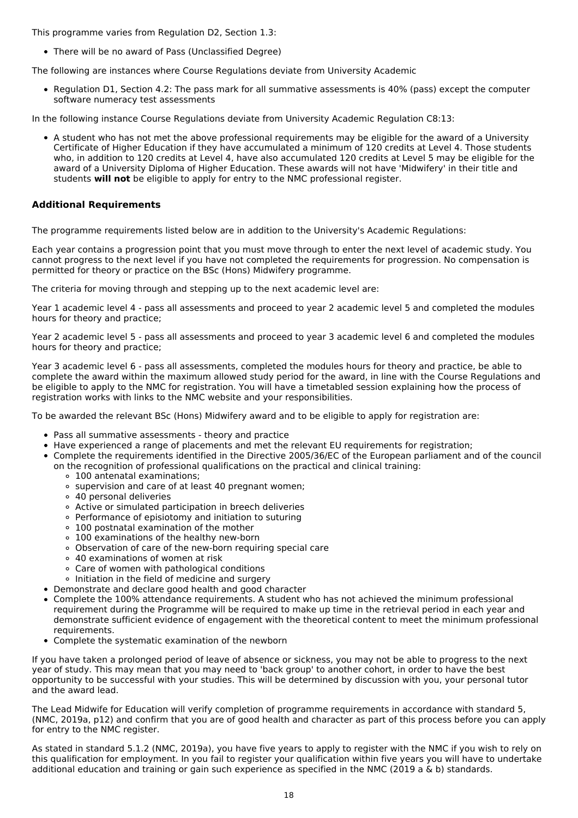This programme varies from Regulation D2, Section 1.3:

There will be no award of Pass (Unclassified Degree)

The following are instances where Course Regulations deviate from University Academic

• Regulation D1, Section 4.2: The pass mark for all summative assessments is 40% (pass) except the computer software numeracy test assessments

In the following instance Course Regulations deviate from University Academic Regulation C8:13:

A student who has not met the above professional requirements may be eligible for the award of a University Certificate of Higher Education if they have accumulated a minimum of 120 credits at Level 4. Those students who, in addition to 120 credits at Level 4, have also accumulated 120 credits at Level 5 may be eligible for the award of a University Diploma of Higher Education. These awards will not have 'Midwifery' in their title and students **will not** be eligible to apply for entry to the NMC professional register.

#### **Additional Requirements**

The programme requirements listed below are in addition to the University's Academic Regulations:

Each year contains a progression point that you must move through to enter the next level of academic study. You cannot progress to the next level if you have not completed the requirements for progression. No compensation is permitted for theory or practice on the BSc (Hons) Midwifery programme.

The criteria for moving through and stepping up to the next academic level are:

Year 1 academic level 4 - pass all assessments and proceed to year 2 academic level 5 and completed the modules hours for theory and practice;

Year 2 academic level 5 - pass all assessments and proceed to year 3 academic level 6 and completed the modules hours for theory and practice;

Year 3 academic level 6 - pass all assessments, completed the modules hours for theory and practice, be able to complete the award within the maximum allowed study period for the award, in line with the Course Regulations and be eligible to apply to the NMC for registration. You will have a timetabled session explaining how the process of registration works with links to the NMC website and your responsibilities.

To be awarded the relevant BSc (Hons) Midwifery award and to be eligible to apply for registration are:

- Pass all summative assessments theory and practice
- Have experienced a range of placements and met the relevant EU requirements for registration;
- Complete the requirements identified in the Directive 2005/36/EC of the European parliament and of the council on the recognition of professional qualifications on the practical and clinical training:
	- 100 antenatal examinations;
	- o supervision and care of at least 40 pregnant women;
	- 40 personal deliveries
	- Active or simulated participation in breech deliveries
	- Performance of episiotomy and initiation to suturing
	- 100 postnatal examination of the mother
	- 100 examinations of the healthy new-born
	- Observation of care of the new-born requiring special care
	- 40 examinations of women at risk
	- Care of women with pathological conditions
	- o Initiation in the field of medicine and surgery
- Demonstrate and declare good health and good character
- Complete the 100% attendance requirements. A student who has not achieved the minimum professional requirement during the Programme will be required to make up time in the retrieval period in each year and demonstrate sufficient evidence of engagement with the theoretical content to meet the minimum professional requirements.
- Complete the systematic examination of the newborn

If you have taken a prolonged period of leave of absence or sickness, you may not be able to progress to the next year of study. This may mean that you may need to 'back group' to another cohort, in order to have the best opportunity to be successful with your studies. This will be determined by discussion with you, your personal tutor and the award lead.

The Lead Midwife for Education will verify completion of programme requirements in accordance with standard 5, (NMC, 2019a, p12) and confirm that you are of good health and character as part of this process before you can apply for entry to the NMC register.

As stated in standard 5.1.2 (NMC, 2019a), you have five years to apply to register with the NMC if you wish to rely on this qualification for employment. In you fail to register your qualification within five years you will have to undertake additional education and training or gain such experience as specified in the NMC (2019 a & b) standards.